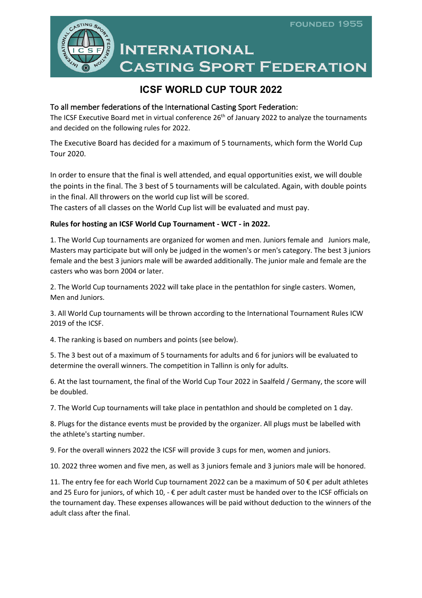

# **INTERNATIONAL CASTING SPORT FEDERATION**

# **ICSF WORLD CUP TOUR 2022**

## To all member federations of the International Casting Sport Federation:

The ICSF Executive Board met in virtual conference 26<sup>th</sup> of January 2022 to analyze the tournaments and decided on the following rules for 2022.

The Executive Board has decided for a maximum of 5 tournaments, which form the World Cup Tour 2020.

In order to ensure that the final is well attended, and equal opportunities exist, we will double the points in the final. The 3 best of 5 tournaments will be calculated. Again, with double points in the final. All throwers on the world cup list will be scored.

The casters of all classes on the World Cup list will be evaluated and must pay.

### **Rules for hosting an ICSF World Cup Tournament - WCT - in 2022.**

1. The World Cup tournaments are organized for women and men. Juniors female and Juniors male, Masters may participate but will only be judged in the women's or men's category. The best 3 juniors female and the best 3 juniors male will be awarded additionally. The junior male and female are the casters who was born 2004 or later.

2. The World Cup tournaments 2022 will take place in the pentathlon for single casters. Women, Men and Juniors.

3. All World Cup tournaments will be thrown according to the International Tournament Rules ICW 2019 of the ICSF.

4. The ranking is based on numbers and points (see below).

5. The 3 best out of a maximum of 5 tournaments for adults and 6 for juniors will be evaluated to determine the overall winners. The competition in Tallinn is only for adults.

6. At the last tournament, the final of the World Cup Tour 2022 in Saalfeld / Germany, the score will be doubled.

7. The World Cup tournaments will take place in pentathlon and should be completed on 1 day.

8. Plugs for the distance events must be provided by the organizer. All plugs must be labelled with the athlete's starting number.

9. For the overall winners 2022 the ICSF will provide 3 cups for men, women and juniors.

10. 2022 three women and five men, as well as 3 juniors female and 3 juniors male will be honored.

11. The entry fee for each World Cup tournament 2022 can be a maximum of 50 € per adult athletes and 25 Euro for juniors, of which 10,  $-\epsilon$  per adult caster must be handed over to the ICSF officials on the tournament day. These expenses allowances will be paid without deduction to the winners of the adult class after the final.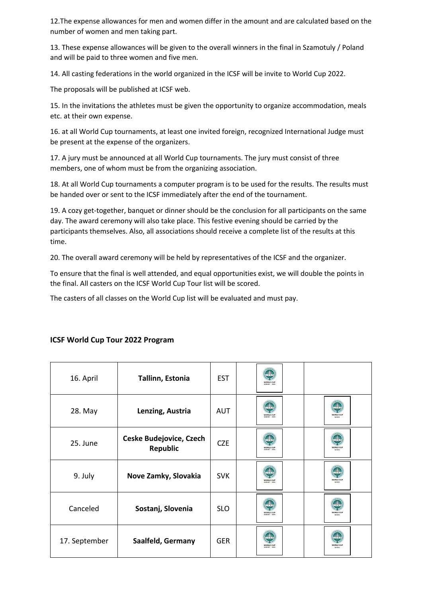12.The expense allowances for men and women differ in the amount and are calculated based on the number of women and men taking part.

13. These expense allowances will be given to the overall winners in the final in Szamotuly / Poland and will be paid to three women and five men.

14. All casting federations in the world organized in the ICSF will be invite to World Cup 2022.

The proposals will be published at ICSF web.

15. In the invitations the athletes must be given the opportunity to organize accommodation, meals etc. at their own expense.

16. at all World Cup tournaments, at least one invited foreign, recognized International Judge must be present at the expense of the organizers.

17. A jury must be announced at all World Cup tournaments. The jury must consist of three members, one of whom must be from the organizing association.

18. At all World Cup tournaments a computer program is to be used for the results. The results must be handed over or sent to the ICSF immediately after the end of the tournament.

19. A cozy get-together, banquet or dinner should be the conclusion for all participants on the same day. The award ceremony will also take place. This festive evening should be carried by the participants themselves. Also, all associations should receive a complete list of the results at this time.

20. The overall award ceremony will be held by representatives of the ICSF and the organizer.

To ensure that the final is well attended, and equal opportunities exist, we will double the points in the final. All casters on the ICSF World Cup Tour list will be scored.

The casters of all classes on the World Cup list will be evaluated and must pay.

| 16. April     | Tallinn, Estonia                           | <b>EST</b> | <b>WORLD CUP</b> |                     |
|---------------|--------------------------------------------|------------|------------------|---------------------|
| 28. May       | Lenzing, Austria                           | <b>AUT</b> | WORLD CUP        | <b>WORLD CUP</b>    |
| 25. June      | <b>Ceske Budejovice, Czech</b><br>Republic | <b>CZE</b> | WORLD CUP        | <b>NORLD CUP</b>    |
| 9. July       | Nove Zamky, Slovakia                       | <b>SVK</b> | WORLD CUP        | <b>WORLD CUP</b>    |
| Canceled      | Sostanj, Slovenia                          | <b>SLO</b> | WORLD CUP        | WORLD CUP<br>turior |
| 17. September | Saalfeld, Germany                          | <b>GER</b> | WORLD CUP        | WORLD CUP           |

#### **ICSF World Cup Tour 2022 Program**